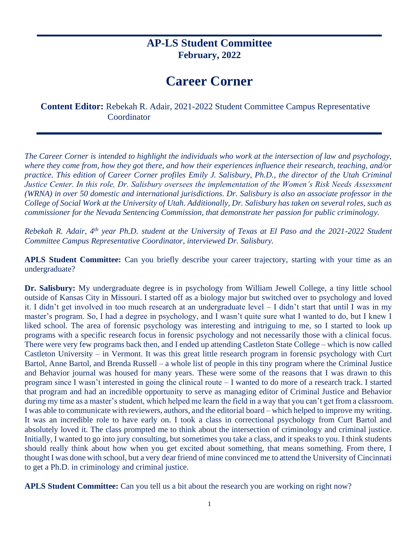## **AP-LS Student Committee February, 2022**

## **Career Corner**

**Content Editor:** Rebekah R. Adair, 2021-2022 Student Committee Campus Representative Coordinator

*The Career Corner is intended to highlight the individuals who work at the intersection of law and psychology, where they come from, how they got there, and how their experiences influence their research, teaching, and/or practice. This edition of Career Corner profiles Emily J. Salisbury, Ph.D., the director of the Utah Criminal Justice Center. In this role, Dr. Salisbury oversees the implementation of the Women's Risk Needs Assessment (WRNA) in over 50 domestic and international jurisdictions. Dr. Salisbury is also an associate professor in the College of Social Work at the University of Utah. Additionally, Dr. Salisbury has taken on several roles, such as commissioner for the Nevada Sentencing Commission, that demonstrate her passion for public criminology.* 

*Rebekah R. Adair, 4th year Ph.D. student at the University of Texas at El Paso and the 2021-2022 Student Committee Campus Representative Coordinator, interviewed Dr. Salisbury.* 

**APLS Student Committee:** Can you briefly describe your career trajectory, starting with your time as an undergraduate?

**Dr. Salisbury:** My undergraduate degree is in psychology from William Jewell College, a tiny little school outside of Kansas City in Missouri. I started off as a biology major but switched over to psychology and loved it. I didn't get involved in too much research at an undergraduate level – I didn't start that until I was in my master's program. So, I had a degree in psychology, and I wasn't quite sure what I wanted to do, but I knew I liked school. The area of forensic psychology was interesting and intriguing to me, so I started to look up programs with a specific research focus in forensic psychology and not necessarily those with a clinical focus. There were very few programs back then, and I ended up attending Castleton State College – which is now called Castleton University – in Vermont. It was this great little research program in forensic psychology with Curt Bartol, Anne Bartol, and Brenda Russell – a whole list of people in this tiny program where the Criminal Justice and Behavior journal was housed for many years. These were some of the reasons that I was drawn to this program since I wasn't interested in going the clinical route – I wanted to do more of a research track. I started that program and had an incredible opportunity to serve as managing editor of Criminal Justice and Behavior during my time as a master's student, which helped me learn the field in a way that you can't get from a classroom. I was able to communicate with reviewers, authors, and the editorial board – which helped to improve my writing. It was an incredible role to have early on. I took a class in correctional psychology from Curt Bartol and absolutely loved it. The class prompted me to think about the intersection of criminology and criminal justice. Initially, I wanted to go into jury consulting, but sometimes you take a class, and it speaks to you. I think students should really think about how when you get excited about something, that means something. From there, I thought I was done with school, but a very dear friend of mine convinced me to attend the University of Cincinnati to get a Ph.D. in criminology and criminal justice.

**APLS Student Committee:** Can you tell us a bit about the research you are working on right now?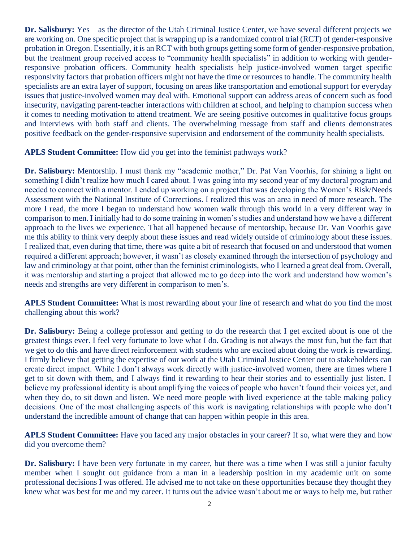**Dr. Salisbury:** Yes – as the director of the Utah Criminal Justice Center, we have several different projects we are working on. One specific project that is wrapping up is a randomized control trial (RCT) of gender-responsive probation in Oregon. Essentially, it is an RCT with both groups getting some form of gender-responsive probation, but the treatment group received access to "community health specialists" in addition to working with genderresponsive probation officers. Community health specialists help justice-involved women target specific responsivity factors that probation officers might not have the time or resources to handle. The community health specialists are an extra layer of support, focusing on areas like transportation and emotional support for everyday issues that justice-involved women may deal with. Emotional support can address areas of concern such as food insecurity, navigating parent-teacher interactions with children at school, and helping to champion success when it comes to needing motivation to attend treatment. We are seeing positive outcomes in qualitative focus groups and interviews with both staff and clients. The overwhelming message from staff and clients demonstrates positive feedback on the gender-responsive supervision and endorsement of the community health specialists.

**APLS Student Committee:** How did you get into the feminist pathways work?

**Dr. Salisbury:** Mentorship. I must thank my "academic mother," Dr. Pat Van Voorhis, for shining a light on something I didn't realize how much I cared about. I was going into my second year of my doctoral program and needed to connect with a mentor. I ended up working on a project that was developing the Women's Risk/Needs Assessment with the National Institute of Corrections. I realized this was an area in need of more research. The more I read, the more I began to understand how women walk through this world in a very different way in comparison to men. I initially had to do some training in women's studies and understand how we have a different approach to the lives we experience. That all happened because of mentorship, because Dr. Van Voorhis gave me this ability to think very deeply about these issues and read widely outside of criminology about these issues. I realized that, even during that time, there was quite a bit of research that focused on and understood that women required a different approach; however, it wasn't as closely examined through the intersection of psychology and law and criminology at that point, other than the feminist criminologists, who I learned a great deal from. Overall, it was mentorship and starting a project that allowed me to go deep into the work and understand how women's needs and strengths are very different in comparison to men's.

**APLS Student Committee:** What is most rewarding about your line of research and what do you find the most challenging about this work?

**Dr. Salisbury:** Being a college professor and getting to do the research that I get excited about is one of the greatest things ever. I feel very fortunate to love what I do. Grading is not always the most fun, but the fact that we get to do this and have direct reinforcement with students who are excited about doing the work is rewarding. I firmly believe that getting the expertise of our work at the Utah Criminal Justice Center out to stakeholders can create direct impact. While I don't always work directly with justice-involved women, there are times where I get to sit down with them, and I always find it rewarding to hear their stories and to essentially just listen. I believe my professional identity is about amplifying the voices of people who haven't found their voices yet, and when they do, to sit down and listen. We need more people with lived experience at the table making policy decisions. One of the most challenging aspects of this work is navigating relationships with people who don't understand the incredible amount of change that can happen within people in this area.

**APLS Student Committee:** Have you faced any major obstacles in your career? If so, what were they and how did you overcome them?

**Dr. Salisbury:** I have been very fortunate in my career, but there was a time when I was still a junior faculty member when I sought out guidance from a man in a leadership position in my academic unit on some professional decisions I was offered. He advised me to not take on these opportunities because they thought they knew what was best for me and my career. It turns out the advice wasn't about me or ways to help me, but rather